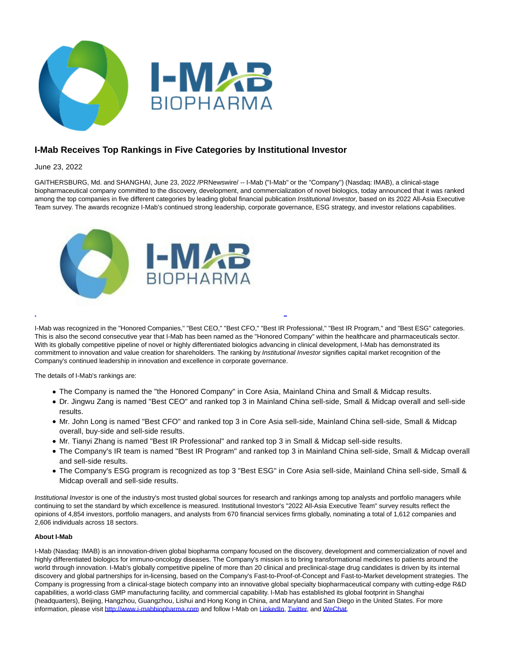

# **I-Mab Receives Top Rankings in Five Categories by Institutional Investor**

## June 23, 2022

GAITHERSBURG, Md. and SHANGHAI, June 23, 2022 /PRNewswire/ -- I-Mab ("I-Mab" or the "Company") (Nasdaq: IMAB), a clinical-stage biopharmaceutical company committed to the discovery, development, and commercialization of novel biologics, today announced that it was ranked among the top companies in five different categories by leading global financial publication Institutional Investor, based on its 2022 All-Asia Executive Team survey. The awards recognize I-Mab's continued strong leadership, corporate governance, ESG strategy, and investor relations capabilities.



I-Mab was recognized in the "Honored Companies," "Best CEO," "Best CFO," "Best IR Professional," "Best IR Program," and "Best ESG" categories. This is also the second consecutive year that I-Mab has been named as the "Honored Company" within the healthcare and pharmaceuticals sector. With its globally competitive pipeline of novel or highly differentiated biologics advancing in clinical development, I-Mab has demonstrated its commitment to innovation and value creation for shareholders. The ranking by *Institutional Investor* signifies capital market recognition of the Company's continued leadership in innovation and excellence in corporate governance.

L

The details of I-Mab's rankings are:

- The Company is named the "the Honored Company" in Core Asia, Mainland China and Small & Midcap results.
- Dr. Jingwu Zang is named "Best CEO" and ranked top 3 in Mainland China sell-side, Small & Midcap overall and sell-side results.
- Mr. John Long is named "Best CFO" and ranked top 3 in Core Asia sell-side, Mainland China sell-side, Small & Midcap overall, buy-side and sell-side results.
- Mr. Tianyi Zhang is named "Best IR Professional" and ranked top 3 in Small & Midcap sell-side results.
- The Company's IR team is named "Best IR Program" and ranked top 3 in Mainland China sell-side, Small & Midcap overall and sell-side results.
- The Company's ESG program is recognized as top 3 "Best ESG" in Core Asia sell-side, Mainland China sell-side, Small & Midcap overall and sell-side results.

Institutional Investor is one of the industry's most trusted global sources for research and rankings among top analysts and portfolio managers while continuing to set the standard by which excellence is measured. Institutional Investor's "2022 All-Asia Executive Team" survey results reflect the opinions of 4,854 investors, portfolio managers, and analysts from 670 financial services firms globally, nominating a total of 1,612 companies and 2,606 individuals across 18 sectors.

## **About I-Mab**

I-Mab (Nasdaq: IMAB) is an innovation-driven global biopharma company focused on the discovery, development and commercialization of novel and highly differentiated biologics for immuno-oncology diseases. The Company's mission is to bring transformational medicines to patients around the world through innovation. I-Mab's globally competitive pipeline of more than 20 clinical and preclinical-stage drug candidates is driven by its internal discovery and global partnerships for in-licensing, based on the Company's Fast-to-Proof-of-Concept and Fast-to-Market development strategies. The Company is progressing from a clinical-stage biotech company into an innovative global specialty biopharmaceutical company with cutting-edge R&D capabilities, a world-class GMP manufacturing facility, and commercial capability. I-Mab has established its global footprint in Shanghai (headquarters), Beijing, Hangzhou, Guangzhou, Lishui and Hong Kong in China, and Maryland and San Diego in the United States. For more information, please visi[t http://www.i-mabbiopharma.com a](http://www.i-mabbiopharma.com/)nd follow I-Mab on [LinkedIn,](https://www.linkedin.com/company/i-mab/) [Twitter,](https://twitter.com/IMabBiopharma) and [WeChat.](https://mp.weixin.qq.com/s/_s634aizyQPuq1Vgf-hLGA)